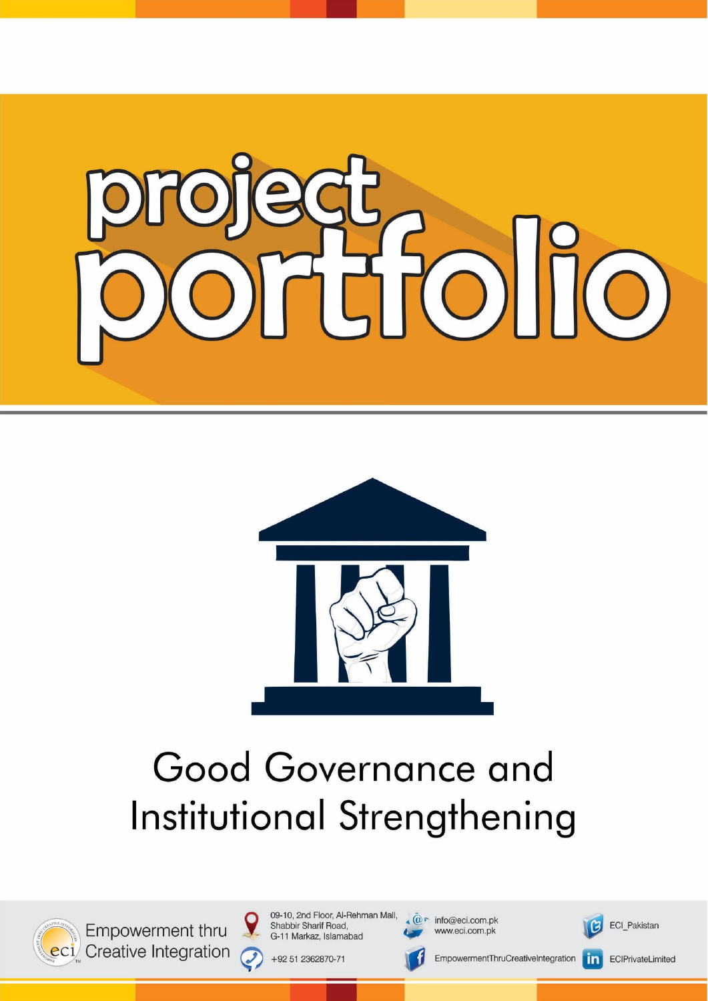



## Good Governance and Institutional Strengthening



Empowerment thru eci Creative Integration 09-10, 2nd Floor, Al-Rehman Mall, Shabbir Sharif Road, G-11 Markaz, Islamabad

+92 51 2362870-71

 $\bm{C}$ 

 $\sqrt{\omega}$  info@eci.com.pk

www.eci.com.pk

EmpowermentThruCreativeIntegration

ECI\_Pakistan

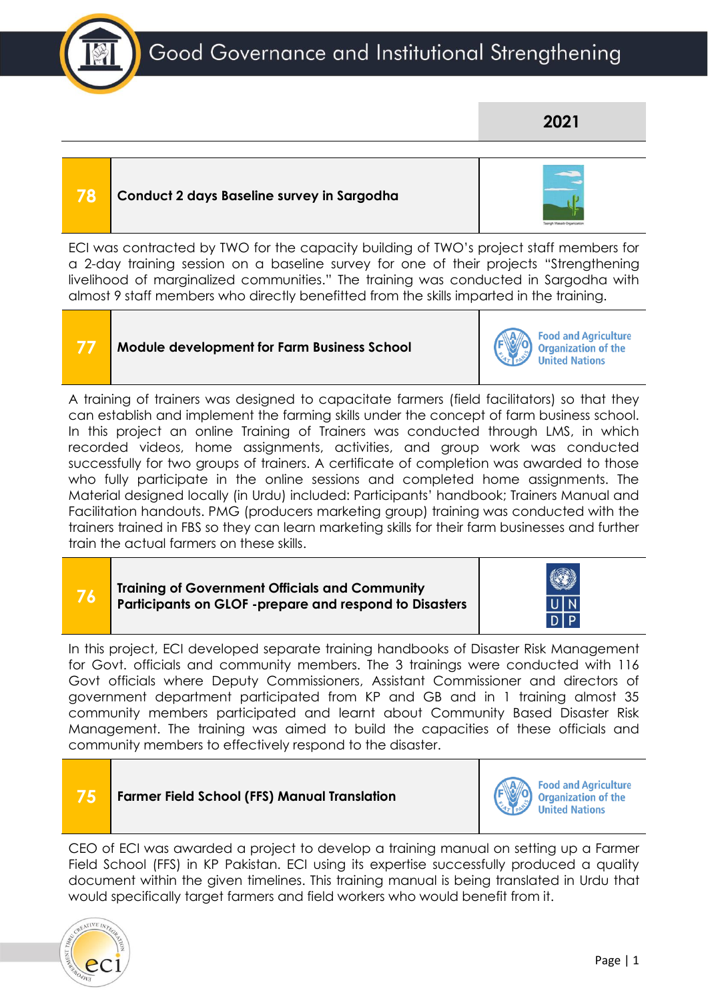

### **2021**

### **78 Conduct 2 days Baseline survey in Sargodha**

| n a |
|-----|
|     |
|     |
|     |
|     |

ECI was contracted by TWO for the capacity building of TWO's project staff members for a 2-day training session on a baseline survey for one of their projects "Strengthening livelihood of marginalized communities." The training was conducted in Sargodha with almost 9 staff members who directly benefitted from the skills imparted in the training.

### **77 Module development for Farm Business School**



**Food and Agriculture Organization of the United Nations** 

A training of trainers was designed to capacitate farmers (field facilitators) so that they can establish and implement the farming skills under the concept of farm business school. In this project an online Training of Trainers was conducted through LMS, in which recorded videos, home assignments, activities, and group work was conducted successfully for two groups of trainers. A certificate of completion was awarded to those who fully participate in the online sessions and completed home assignments. The Material designed locally (in Urdu) included: Participants' handbook; Trainers Manual and Facilitation handouts. PMG (producers marketing group) training was conducted with the trainers trained in FBS so they can learn marketing skills for their farm businesses and further train the actual farmers on these skills.

### **76 Training of Government Officials and Community Participants on GLOF -prepare and respond to Disasters**



In this project, ECI developed separate training handbooks of Disaster Risk Management for Govt. officials and community members. The 3 trainings were conducted with 116 Govt officials where Deputy Commissioners, Assistant Commissioner and directors of government department participated from KP and GB and in 1 training almost 35 community members participated and learnt about Community Based Disaster Risk Management. The training was aimed to build the capacities of these officials and community members to effectively respond to the disaster.

### **Food and Agriculture 75 Farmer Field School (FFS) Manual Translation Organization of the United Nations**

CEO of ECI was awarded a project to develop a training manual on setting up a Farmer Field School (FFS) in KP Pakistan. ECI using its expertise successfully produced a quality document within the given timelines. This training manual is being translated in Urdu that would specifically target farmers and field workers who would benefit from it.

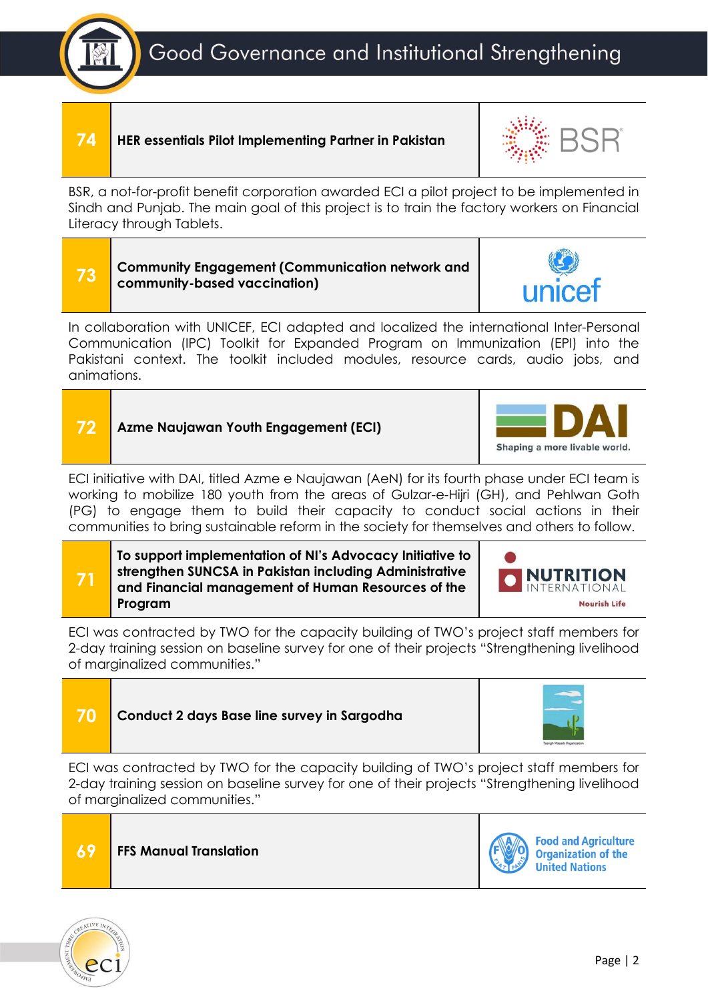### **74 HER essentials Pilot Implementing Partner in Pakistan**

BSR, a not-for-profit benefit corporation awarded ECI a pilot project to be implemented in Sindh and Punjab. The main goal of this project is to train the factory workers on Financial Literacy through Tablets.



In collaboration with UNICEF, ECI adapted and localized the international Inter-Personal Communication (IPC) Toolkit for Expanded Program on Immunization (EPI) into the Pakistani context. The toolkit included modules, resource cards, audio jobs, and animations.

| ECI initiative with DAI, titled Azme e Naujawan (AeN) for its fourth phase under ECI team is |  |
|----------------------------------------------------------------------------------------------|--|
| working to mobilize 180 youth from the areas of Gulzar-e-Hijri (GH), and Pehlwan Goth        |  |
| (PG) to engage them to build their capacity to conduct social actions in their               |  |
| communities to bring sustainable reform in the society for themselves and others to follow.  |  |

| 71 | To support implementation of NI's Advocacy Initiative to<br>strengthen SUNCSA in Pakistan including Administrative<br>and Financial management of Human Resources of the<br>Program |
|----|-------------------------------------------------------------------------------------------------------------------------------------------------------------------------------------|
|----|-------------------------------------------------------------------------------------------------------------------------------------------------------------------------------------|

**72 Azme Naujawan Youth Engagement (ECI)**

ECI was contracted by TWO for the capacity building of TWO's project staff members for 2-day training session on baseline survey for one of their projects "Strengthening livelihood of marginalized communities."



ECI was contracted by TWO for the capacity building of TWO's project staff members for 2-day training session on baseline survey for one of their projects "Strengthening livelihood of marginalized communities."









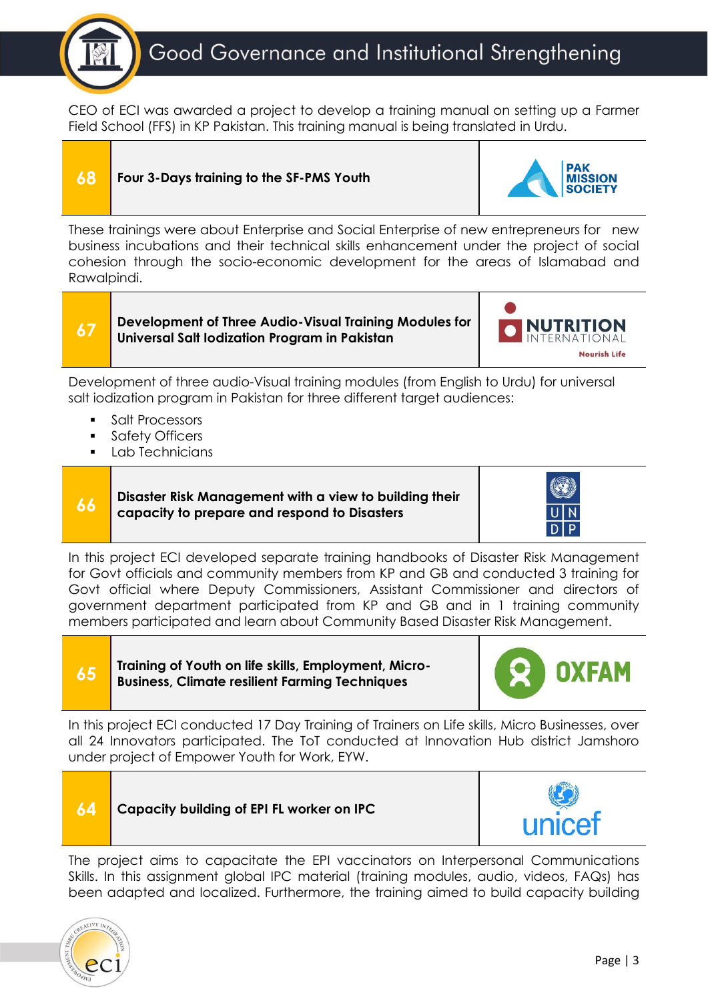

CEO of ECI was awarded a project to develop a training manual on setting up a Farmer Field School (FFS) in KP Pakistan. This training manual is being translated in Urdu.

### **68 Four 3-Days training to the SF-PMS Youth**



These trainings were about Enterprise and Social Enterprise of new entrepreneurs for new business incubations and their technical skills enhancement under the project of social cohesion through the socio-economic development for the areas of Islamabad and Rawalpindi.

**67 Development of Three Audio-Visual Training Modules for Universal Salt Iodization Program in Pakistan**



Development of three audio-Visual training modules (from English to Urdu) for universal salt iodization program in Pakistan for three different target audiences:

- Salt Processors
- Safety Officers
- Lab Technicians

**66 Disaster Risk Management with a view to building their capacity to prepare and respond to Disasters**



In this project ECI developed separate training handbooks of Disaster Risk Management for Govt officials and community members from KP and GB and conducted 3 training for Govt official where Deputy Commissioners, Assistant Commissioner and directors of government department participated from KP and GB and in 1 training community members participated and learn about Community Based Disaster Risk Management.



**65 Training of Youth on life skills, Employment, Micro-Business, Climate resilient Farming Techniques**



In this project ECI conducted 17 Day Training of Trainers on Life skills, Micro Businesses, over all 24 Innovators participated. The ToT conducted at Innovation Hub district Jamshoro under project of Empower Youth for Work, EYW.



The project aims to capacitate the EPI vaccinators on Interpersonal Communications Skills. In this assignment global IPC material (training modules, audio, videos, FAQs) has been adapted and localized. Furthermore, the training aimed to build capacity building

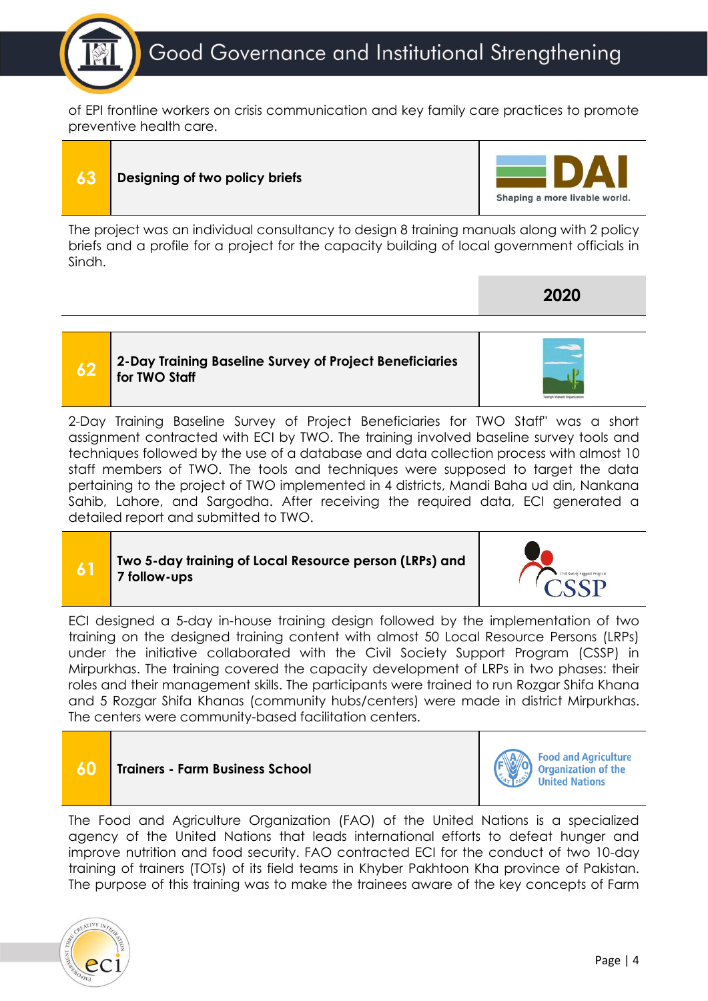

of EPI frontline workers on crisis communication and key family care practices to promote preventive health care.

# **63 Designing of two policy briefs**

The project was an individual consultancy to design 8 training manuals along with 2 policy briefs and a profile for a project for the capacity building of local government officials in Sindh.

### **62 2-Day Training Baseline Survey of Project Beneficiaries for TWO Staff**

2-Day Training Baseline Survey of Project Beneficiaries for TWO Staff" was a short assignment contracted with ECI by TWO. The training involved baseline survey tools and techniques followed by the use of a database and data collection process with almost 10 staff members of TWO. The tools and techniques were supposed to target the data pertaining to the project of TWO implemented in 4 districts, Mandi Baha ud din, Nankana Sahib, Lahore, and Sargodha. After receiving the required data, ECI generated a detailed report and submitted to TWO.

### **61 Two 5-day training of Local Resource person (LRPs) and 7 follow-ups**

ECI designed a 5-day in-house training design followed by the implementation of two training on the designed training content with almost 50 Local Resource Persons (LRPs) under the initiative collaborated with the Civil Society Support Program (CSSP) in Mirpurkhas. The training covered the capacity development of LRPs in two phases: their roles and their management skills. The participants were trained to run Rozgar Shifa Khana and 5 Rozgar Shifa Khanas (community hubs/centers) were made in district Mirpurkhas. The centers were community-based facilitation centers.



agency of the United Nations that leads international efforts to defeat hunger and improve nutrition and food security. FAO contracted ECI for the conduct of two 10-day training of trainers (TOTs) of its field teams in Khyber Pakhtoon Kha province of Pakistan. The purpose of this training was to make the trainees aware of the key concepts of Farm







**2020**

Shaping a more livable world.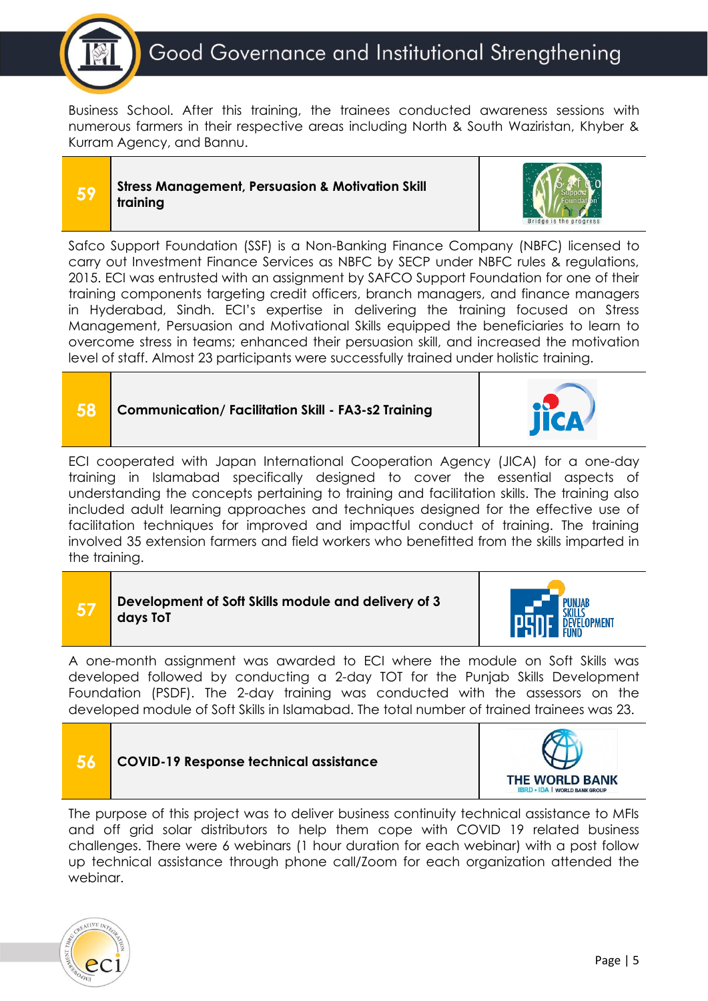

Business School. After this training, the trainees conducted awareness sessions with numerous farmers in their respective areas including North & South Waziristan, Khyber & Kurram Agency, and Bannu.

### **59 Stress Management, Persuasion & Motivation Skill training**



Safco Support Foundation (SSF) is a Non-Banking Finance Company (NBFC) licensed to carry out Investment Finance Services as NBFC by SECP under NBFC rules & regulations, 2015. ECI was entrusted with an assignment by SAFCO Support Foundation for one of their training components targeting credit officers, branch managers, and finance managers in Hyderabad, Sindh. ECI's expertise in delivering the training focused on Stress Management, Persuasion and Motivational Skills equipped the beneficiaries to learn to overcome stress in teams; enhanced their persuasion skill, and increased the motivation level of staff. Almost 23 participants were successfully trained under holistic training.

### **58 Communication/ Facilitation Skill - FA3-s2 Training**

ECI cooperated with Japan International Cooperation Agency (JICA) for a one-day training in Islamabad specifically designed to cover the essential aspects of understanding the concepts pertaining to training and facilitation skills. The training also included adult learning approaches and techniques designed for the effective use of facilitation techniques for improved and impactful conduct of training. The training involved 35 extension farmers and field workers who benefitted from the skills imparted in the training.

| Development of Soft Skills module and delivery of 3<br><b>PEDF SWIP</b><br>days ToT |  | <b>PUNJAB</b> |
|-------------------------------------------------------------------------------------|--|---------------|
|-------------------------------------------------------------------------------------|--|---------------|

A one-month assignment was awarded to ECI where the module on Soft Skills was developed followed by conducting a 2-day TOT for the Punjab Skills Development Foundation (PSDF). The 2-day training was conducted with the assessors on the developed module of Soft Skills in Islamabad. The total number of trained trainees was 23.

### **56 COVID-19 Response technical assistance**



**ELOPMENT** 

The purpose of this project was to deliver business continuity technical assistance to MFIs and off grid solar distributors to help them cope with COVID 19 related business challenges. There were 6 webinars (1 hour duration for each webinar) with a post follow up technical assistance through phone call/Zoom for each organization attended the webinar.

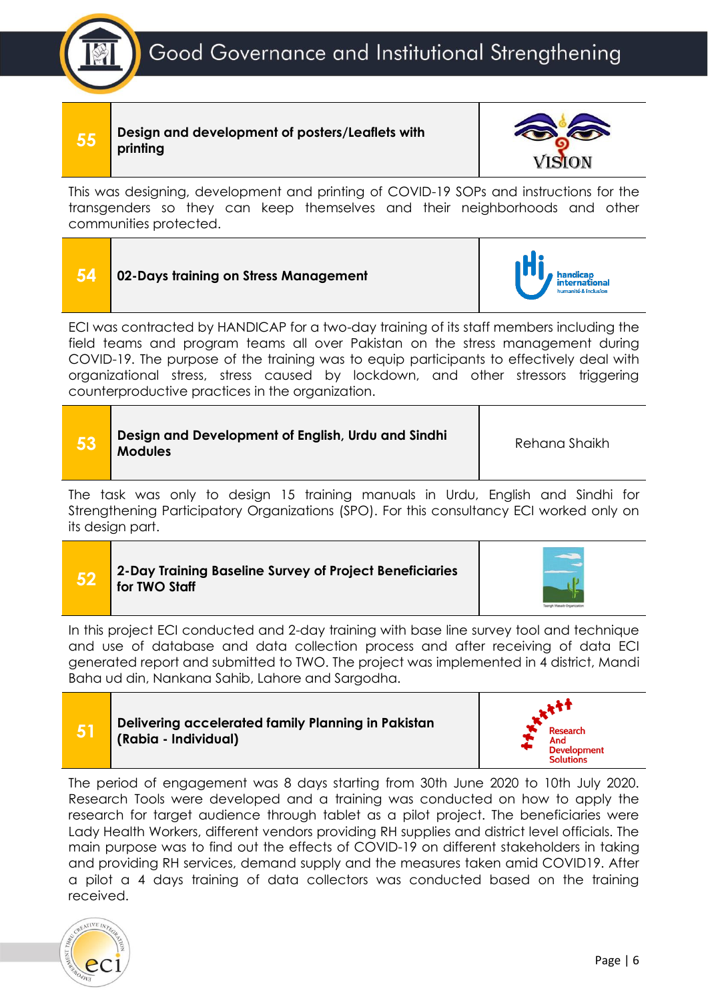**55 Design and development of posters/Leaflets with printing**



This was designing, development and printing of COVID-19 SOPs and instructions for the transgenders so they can keep themselves and their neighborhoods and other communities protected.

| 54 | 02-Days training on Stress Management                                                    | <b>handicap<br/>international</b><br>humanité & inclusion |
|----|------------------------------------------------------------------------------------------|-----------------------------------------------------------|
|    | ECI was contracted by HANDICAP for a two-day training of its staff members including the |                                                           |

ECI was contracted by HANDICAP for a two-day training of its staff members including the field teams and program teams all over Pakistan on the stress management during COVID-19. The purpose of the training was to equip participants to effectively deal with organizational stress, stress caused by lockdown, and other stressors triggering counterproductive practices in the organization.

| Design and Development of English, Urdu and Sindhi<br>/ 53 /<br><b>Modules</b> | Rehana Shaikh |
|--------------------------------------------------------------------------------|---------------|
|--------------------------------------------------------------------------------|---------------|

The task was only to design 15 training manuals in Urdu, English and Sindhi for Strengthening Participatory Organizations (SPO). For this consultancy ECI worked only on its design part.

### **52 2-Day Training Baseline Survey of Project Beneficiaries for TWO Staff**



In this project ECI conducted and 2-day training with base line survey tool and technique and use of database and data collection process and after receiving of data ECI generated report and submitted to TWO. The project was implemented in 4 district, Mandi Baha ud din, Nankana Sahib, Lahore and Sargodha.





The period of engagement was 8 days starting from 30th June 2020 to 10th July 2020. Research Tools were developed and a training was conducted on how to apply the research for target audience through tablet as a pilot project. The beneficiaries were Lady Health Workers, different vendors providing RH supplies and district level officials. The main purpose was to find out the effects of COVID-19 on different stakeholders in taking and providing RH services, demand supply and the measures taken amid COVID19. After a pilot a 4 days training of data collectors was conducted based on the training received.

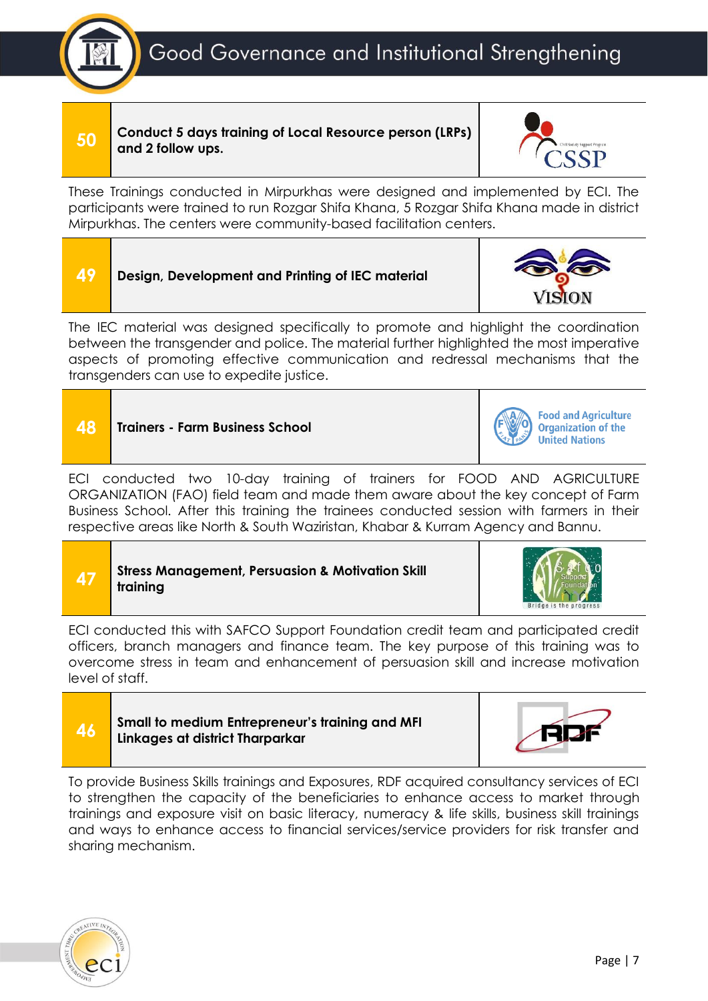

**50 Conduct 5 days training of Local Resource person (LRPs) and 2 follow ups.**



These Trainings conducted in Mirpurkhas were designed and implemented by ECI. The participants were trained to run Rozgar Shifa Khana, 5 Rozgar Shifa Khana made in district Mirpurkhas. The centers were community-based facilitation centers.



The IEC material was designed specifically to promote and highlight the coordination between the transgender and police. The material further highlighted the most imperative aspects of promoting effective communication and redressal mechanisms that the transgenders can use to expedite justice.



**Food and Agriculture Organization of the United Nations** 

ECI conducted two 10-day training of trainers for FOOD AND AGRICULTURE ORGANIZATION (FAO) field team and made them aware about the key concept of Farm Business School. After this training the trainees conducted session with farmers in their respective areas like North & South Waziristan, Khabar & Kurram Agency and Bannu.

| Stress Management, Persuasion & Motivation Sklutarining |  |
|---------------------------------------------------------|--|
|---------------------------------------------------------|--|



ECI conducted this with SAFCO Support Foundation credit team and participated credit officers, branch managers and finance team. The key purpose of this training was to overcome stress in team and enhancement of persuasion skill and increase motivation level of staff.





To provide Business Skills trainings and Exposures, RDF acquired consultancy services of ECI to strengthen the capacity of the beneficiaries to enhance access to market through trainings and exposure visit on basic literacy, numeracy & life skills, business skill trainings and ways to enhance access to financial services/service providers for risk transfer and sharing mechanism.

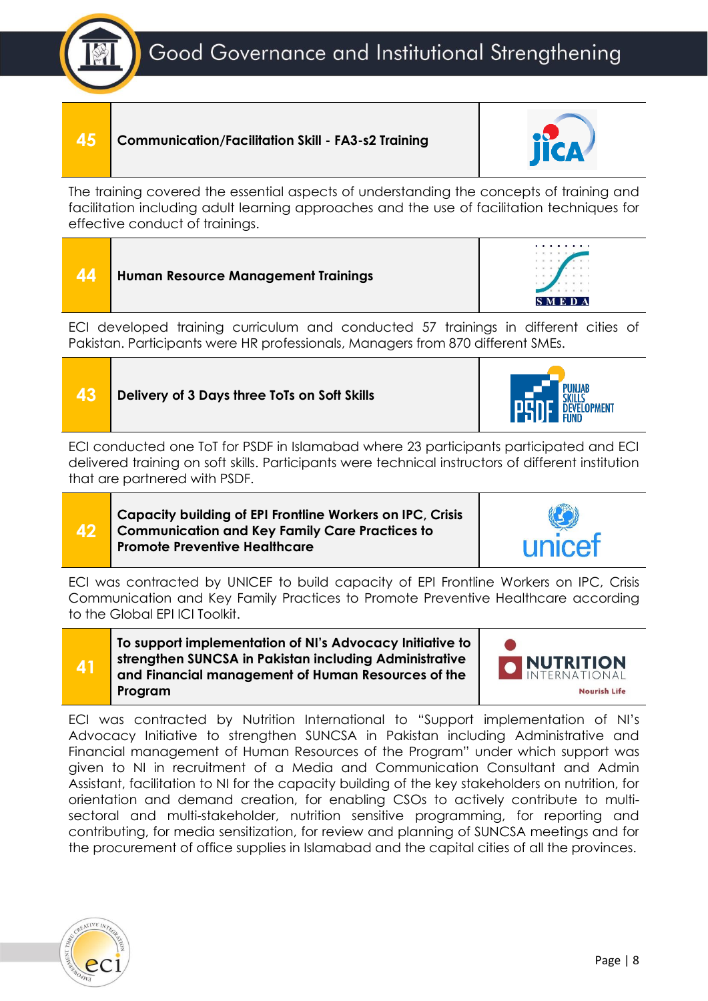## **45 Communication/Facilitation Skill - FA3-s2 Training**



ECI developed training curriculum and conducted 57 trainings in different cities of Pakistan. Participants were HR professionals, Managers from 870 different SMEs.

**43 Delivery of 3 Days three ToTs on Soft Skills**

ECI conducted one ToT for PSDF in Islamabad where 23 participants participated and ECI delivered training on soft skills. Participants were technical instructors of different institution that are partnered with PSDF.

### **Capacity building of EPI Frontline Workers on IPC, Crisis Communication and Key Family Care Practices to Promote Preventive Healthcare**

ECI was contracted by UNICEF to build capacity of EPI Frontline Workers on IPC, Crisis Communication and Key Family Practices to Promote Preventive Healthcare according to the Global EPI ICI Toolkit.

**To support implementation of NI's Advocacy Initiative to strengthen SUNCSA in Pakistan including Administrative and Financial management of Human Resources of the Program**

ECI was contracted by Nutrition International to "Support implementation of NI's Advocacy Initiative to strengthen SUNCSA in Pakistan including Administrative and Financial management of Human Resources of the Program" under which support was given to NI in recruitment of a Media and Communication Consultant and Admin Assistant, facilitation to NI for the capacity building of the key stakeholders on nutrition, for orientation and demand creation, for enabling CSOs to actively contribute to multisectoral and multi-stakeholder, nutrition sensitive programming, for reporting and contributing, for media sensitization, for review and planning of SUNCSA meetings and for the procurement of office supplies in Islamabad and the capital cities of all the provinces.



**42**

**41**







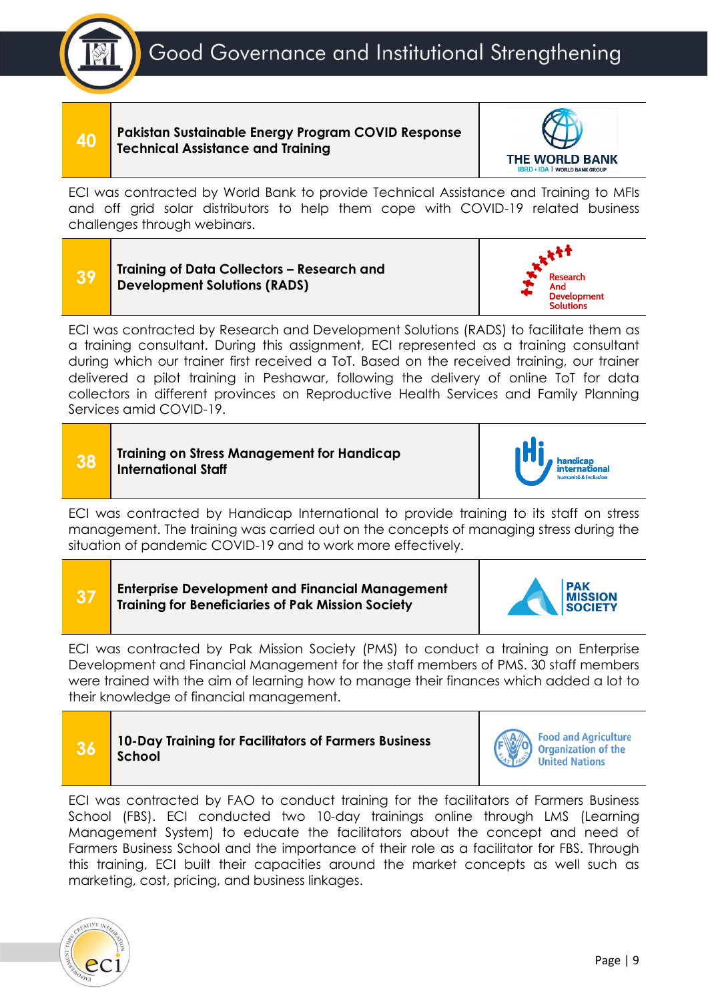

**40 Pakistan Sustainable Energy Program COVID Response Technical Assistance and Training**



ECI was contracted by World Bank to provide Technical Assistance and Training to MFIs and off grid solar distributors to help them cope with COVID-19 related business challenges through webinars.





ECI was contracted by Research and Development Solutions (RADS) to facilitate them as a training consultant. During this assignment, ECI represented as a training consultant during which our trainer first received a ToT. Based on the received training, our trainer delivered a pilot training in Peshawar, following the delivery of online ToT for data collectors in different provinces on Reproductive Health Services and Family Planning Services amid COVID-19.

### **38 Training on Stress Management for Handicap International Staff**



ECI was contracted by Handicap International to provide training to its staff on stress management. The training was carried out on the concepts of managing stress during the situation of pandemic COVID-19 and to work more effectively.

**37 Enterprise Development and Financial Management Training for Beneficiaries of Pak Mission Society**



ECI was contracted by Pak Mission Society (PMS) to conduct a training on Enterprise Development and Financial Management for the staff members of PMS. 30 staff members were trained with the aim of learning how to manage their finances which added a lot to their knowledge of financial management.



**Food and Agriculture Organization of the United Nations** 

ECI was contracted by FAO to conduct training for the facilitators of Farmers Business School (FBS). ECI conducted two 10-day trainings online through LMS (Learning Management System) to educate the facilitators about the concept and need of Farmers Business School and the importance of their role as a facilitator for FBS. Through this training, ECI built their capacities around the market concepts as well such as marketing, cost, pricing, and business linkages.

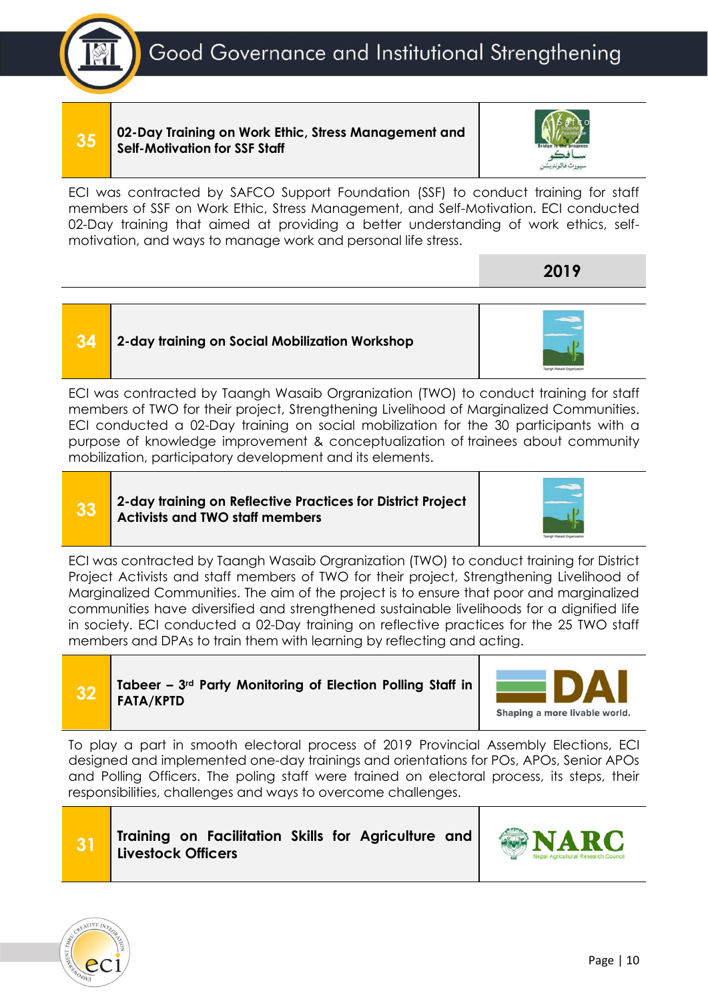Good Governance and Institutional Strengthening



**35 02-Day Training on Work Ethic, Stress Management and Self-Motivation for SSF Staff**



**2019**

ECI was contracted by SAFCO Support Foundation (SSF) to conduct training for staff members of SSF on Work Ethic, Stress Management, and Self-Motivation. ECI conducted 02-Day training that aimed at providing a better understanding of work ethics, selfmotivation, and ways to manage work and personal life stress.



ECI was contracted by Taangh Wasaib Orgranization (TWO) to conduct training for staff members of TWO for their project, Strengthening Livelihood of Marginalized Communities. ECI conducted a 02-Day training on social mobilization for the 30 participants with a purpose of knowledge improvement & conceptualization of trainees about community mobilization, participatory development and its elements.

**33 2-day training on Reflective Practices for District Project Activists and TWO staff members**



ECI was contracted by Taangh Wasaib Orgranization (TWO) to conduct training for District Project Activists and staff members of TWO for their project, Strengthening Livelihood of Marginalized Communities. The aim of the project is to ensure that poor and marginalized communities have diversified and strengthened sustainable livelihoods for a dignified life in society. ECI conducted a 02-Day training on reflective practices for the 25 TWO staff members and DPAs to train them with learning by reflecting and acting.





To play a part in smooth electoral process of 2019 Provincial Assembly Elections, ECI designed and implemented one-day trainings and orientations for POs, APOs, Senior APOs and Polling Officers. The poling staff were trained on electoral process, its steps, their responsibilities, challenges and ways to overcome challenges.





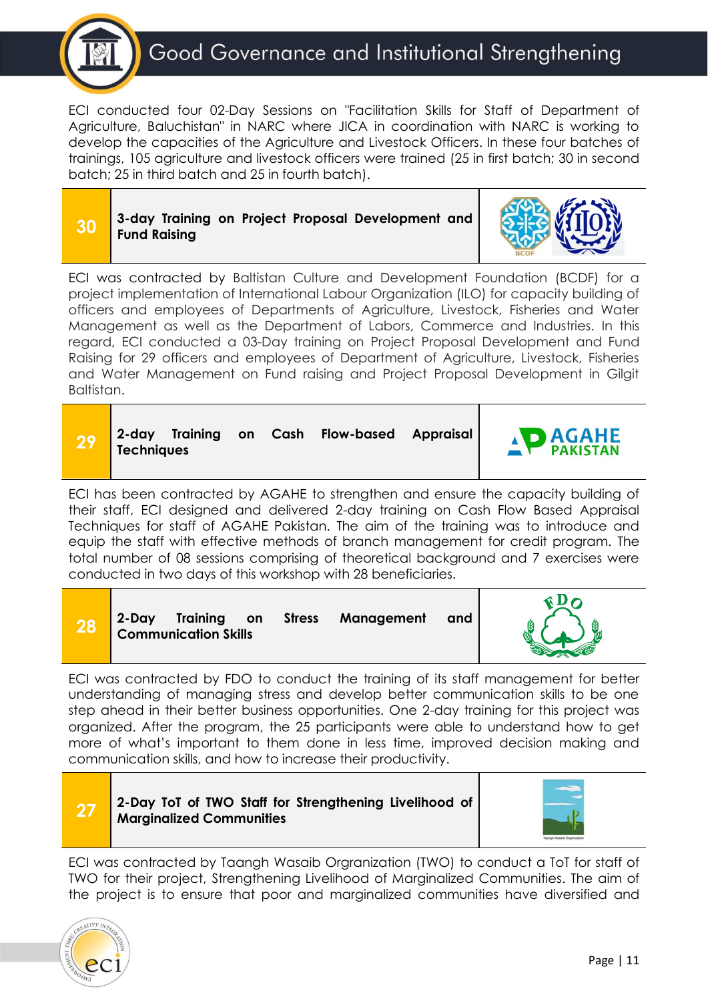

ECI conducted four 02-Day Sessions on "Facilitation Skills for Staff of Department of Agriculture, Baluchistan" in NARC where JICA in coordination with NARC is working to develop the capacities of the Agriculture and Livestock Officers. In these four batches of trainings, 105 agriculture and livestock officers were trained (25 in first batch; 30 in second batch; 25 in third batch and 25 in fourth batch).

| 30 |              |  |  | 3-day Training on Project Proposal Development and |  |
|----|--------------|--|--|----------------------------------------------------|--|
|    | Fund Raising |  |  |                                                    |  |



ECI was contracted by Baltistan Culture and Development Foundation (BCDF) for a project implementation of International Labour Organization (ILO) for capacity building of officers and employees of Departments of Agriculture, Livestock, Fisheries and Water Management as well as the Department of Labors, Commerce and Industries. In this regard, ECI conducted a 03-Day training on Project Proposal Development and Fund Raising for 29 officers and employees of Department of Agriculture, Livestock, Fisheries and Water Management on Fund raising and Project Proposal Development in Gilgit Baltistan.

|  | 2-day Training on<br><b>Techniques</b> |  |  |  | Cash Flow-based Appraisal |  | <b>AGAHE</b> |
|--|----------------------------------------|--|--|--|---------------------------|--|--------------|
|--|----------------------------------------|--|--|--|---------------------------|--|--------------|

ECI has been contracted by AGAHE to strengthen and ensure the capacity building of their staff, ECI designed and delivered 2-day training on Cash Flow Based Appraisal Techniques for staff of AGAHE Pakistan. The aim of the training was to introduce and equip the staff with effective methods of branch management for credit program. The total number of 08 sessions comprising of theoretical background and 7 exercises were conducted in two days of this workshop with 28 beneficiaries.

| ZO | 2-Day | <b>Training</b><br><b>Communication Skills</b> | on | <b>Stress</b> | Management | and |  |
|----|-------|------------------------------------------------|----|---------------|------------|-----|--|
|----|-------|------------------------------------------------|----|---------------|------------|-----|--|

ECI was contracted by FDO to conduct the training of its staff management for better understanding of managing stress and develop better communication skills to be one step ahead in their better business opportunities. One 2-day training for this project was organized. After the program, the 25 participants were able to understand how to get more of what's important to them done in less time, improved decision making and communication skills, and how to increase their productivity.



**27 2-Day ToT of TWO Staff for Strengthening Livelihood of Marginalized Communities**



ECI was contracted by Taangh Wasaib Orgranization (TWO) to conduct a ToT for staff of TWO for their project, Strengthening Livelihood of Marginalized Communities. The aim of the project is to ensure that poor and marginalized communities have diversified and

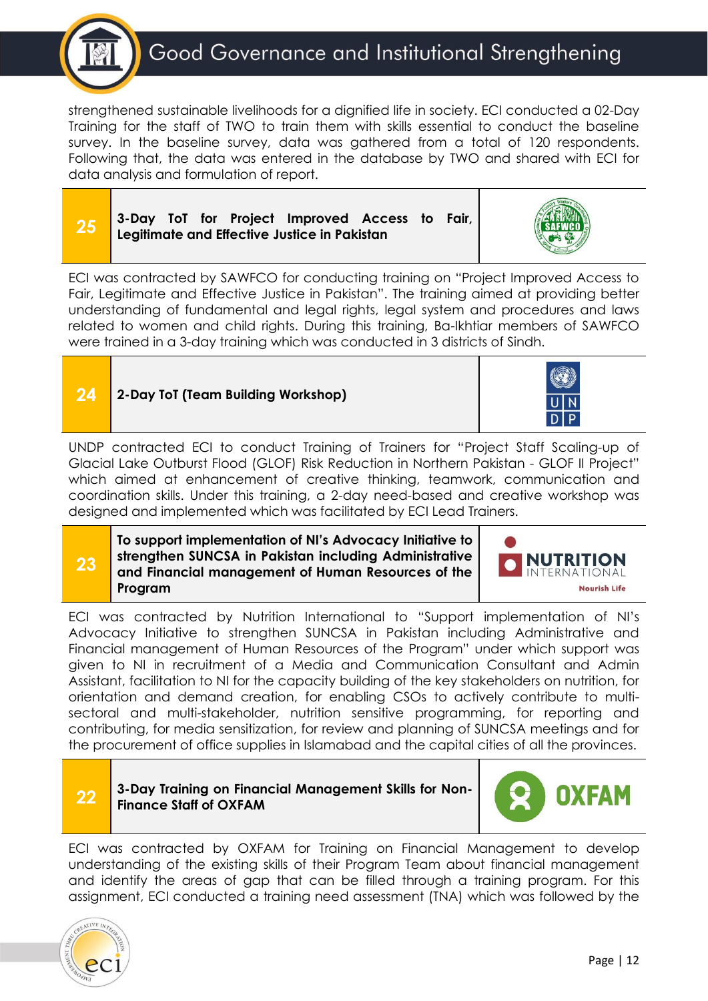

strengthened sustainable livelihoods for a dignified life in society. ECI conducted a 02-Day Training for the staff of TWO to train them with skills essential to conduct the baseline survey. In the baseline survey, data was gathered from a total of 120 respondents. Following that, the data was entered in the database by TWO and shared with ECI for data analysis and formulation of report.





ECI was contracted by SAWFCO for conducting training on "Project Improved Access to Fair, Legitimate and Effective Justice in Pakistan". The training aimed at providing better understanding of fundamental and legal rights, legal system and procedures and laws related to women and child rights. During this training, Ba-Ikhtiar members of SAWFCO were trained in a 3-day training which was conducted in 3 districts of Sindh.



UNDP contracted ECI to conduct Training of Trainers for "Project Staff Scaling-up of Glacial Lake Outburst Flood (GLOF) Risk Reduction in Northern Pakistan - GLOF II Project" which aimed at enhancement of creative thinking, teamwork, communication and coordination skills. Under this training, a 2-day need-based and creative workshop was designed and implemented which was facilitated by ECI Lead Trainers.

**23 To support implementation of NI's Advocacy Initiative to strengthen SUNCSA in Pakistan including Administrative and Financial management of Human Resources of the Program**



ECI was contracted by Nutrition International to "Support implementation of NI's Advocacy Initiative to strengthen SUNCSA in Pakistan including Administrative and Financial management of Human Resources of the Program" under which support was given to NI in recruitment of a Media and Communication Consultant and Admin Assistant, facilitation to NI for the capacity building of the key stakeholders on nutrition, for orientation and demand creation, for enabling CSOs to actively contribute to multisectoral and multi-stakeholder, nutrition sensitive programming, for reporting and contributing, for media sensitization, for review and planning of SUNCSA meetings and for the procurement of office supplies in Islamabad and the capital cities of all the provinces.

**22 3-Day Training on Financial Management Skills for Non-Finance Staff of OXFAM**



ECI was contracted by OXFAM for Training on Financial Management to develop understanding of the existing skills of their Program Team about financial management and identify the areas of gap that can be filled through a training program. For this assignment, ECI conducted a training need assessment (TNA) which was followed by the

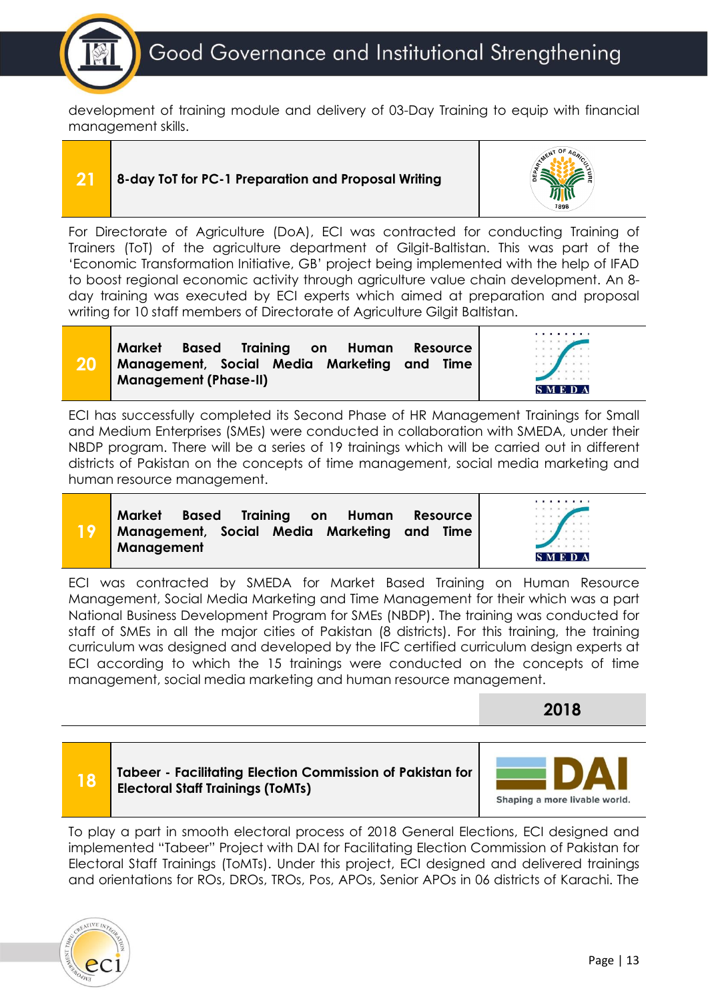development of training module and delivery of 03-Day Training to equip with financial management skills.

**20**

**21 8-day ToT for PC-1 Preparation and Proposal Writing**



For Directorate of Agriculture (DoA), ECI was contracted for conducting Training of Trainers (ToT) of the agriculture department of Gilgit-Baltistan. This was part of the 'Economic Transformation Initiative, GB' project being implemented with the help of IFAD to boost regional economic activity through agriculture value chain development. An 8 day training was executed by ECI experts which aimed at preparation and proposal writing for 10 staff members of Directorate of Agriculture Gilgit Baltistan.

| Market Based Training on Human Resource     |  |  |  |  |  |  |
|---------------------------------------------|--|--|--|--|--|--|
| Management, Social Media Marketing and Time |  |  |  |  |  |  |
| <b>Management (Phase-II)</b>                |  |  |  |  |  |  |



ECI has successfully completed its Second Phase of HR Management Trainings for Small and Medium Enterprises (SMEs) were conducted in collaboration with SMEDA, under their NBDP program. There will be a series of 19 trainings which will be carried out in different districts of Pakistan on the concepts of time management, social media marketing and human resource management.

|    | Market Based Training on Human Resource     |  |  |  |
|----|---------------------------------------------|--|--|--|
| 19 | Management, Social Media Marketing and Time |  |  |  |
|    | Management                                  |  |  |  |



ECI was contracted by SMEDA for Market Based Training on Human Resource Management, Social Media Marketing and Time Management for their which was a part National Business Development Program for SMEs (NBDP). The training was conducted for staff of SMEs in all the major cities of Pakistan (8 districts). For this training, the training curriculum was designed and developed by the IFC certified curriculum design experts at ECI according to which the 15 trainings were conducted on the concepts of time management, social media marketing and human resource management.

**2018**





To play a part in smooth electoral process of 2018 General Elections, ECI designed and implemented "Tabeer" Project with DAI for Facilitating Election Commission of Pakistan for Electoral Staff Trainings (ToMTs). Under this project, ECI designed and delivered trainings and orientations for ROs, DROs, TROs, Pos, APOs, Senior APOs in 06 districts of Karachi. The

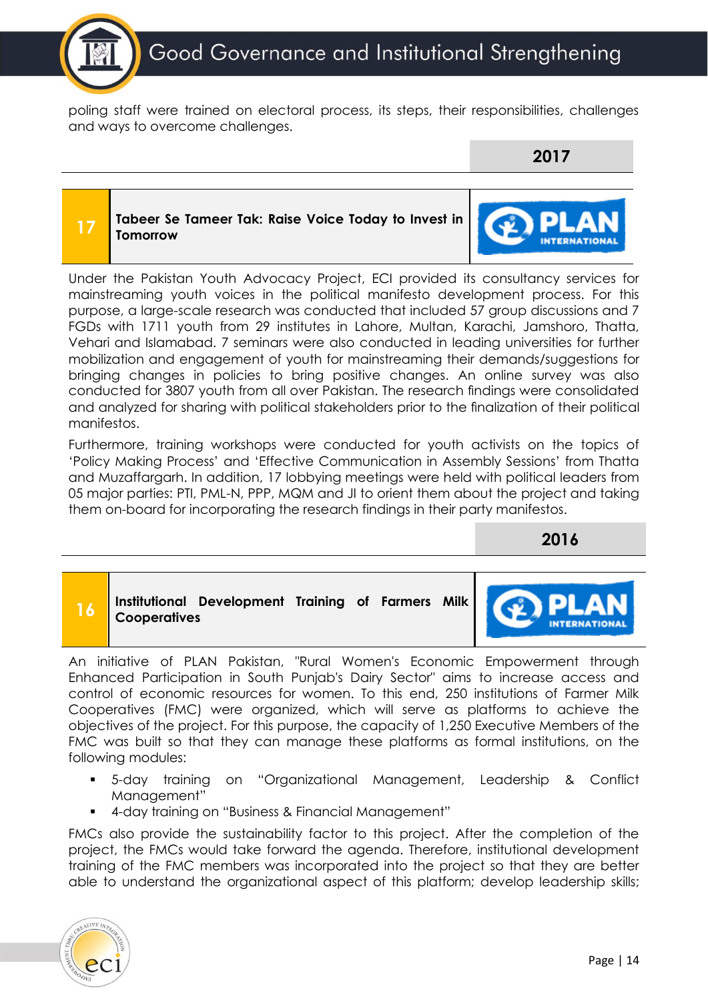

poling staff were trained on electoral process, its steps, their responsibilities, challenges and ways to overcome challenges.

**2017**

### **17 Tabeer Se Tameer Tak: Raise Voice Today to Invest in TomorrowINTERNATIONAL**

Under the Pakistan Youth Advocacy Project, ECI provided its consultancy services for mainstreaming youth voices in the political manifesto development process. For this purpose, a large-scale research was conducted that included 57 group discussions and 7 FGDs with 1711 youth from 29 institutes in Lahore, Multan, Karachi, Jamshoro, Thatta, Vehari and Islamabad. 7 seminars were also conducted in leading universities for further mobilization and engagement of youth for mainstreaming their demands/suggestions for bringing changes in policies to bring positive changes. An online survey was also conducted for 3807 youth from all over Pakistan. The research findings were consolidated and analyzed for sharing with political stakeholders prior to the finalization of their political manifestos.

Furthermore, training workshops were conducted for youth activists on the topics of 'Policy Making Process' and 'Effective Communication in Assembly Sessions' from Thatta and Muzaffargarh. In addition, 17 lobbying meetings were held with political leaders from 05 major parties: PTI, PML-N, PPP, MQM and JI to orient them about the project and taking them on-board for incorporating the research findings in their party manifestos.

**2016**



An initiative of PLAN Pakistan, "Rural Women's Economic Empowerment through Enhanced Participation in South Punjab's Dairy Sector" aims to increase access and control of economic resources for women. To this end, 250 institutions of Farmer Milk Cooperatives (FMC) were organized, which will serve as platforms to achieve the objectives of the project. For this purpose, the capacity of 1,250 Executive Members of the FMC was built so that they can manage these platforms as formal institutions, on the following modules:

- 5-day training on "Organizational Management, Leadership & Conflict Management"
- 4-day training on "Business & Financial Management"

FMCs also provide the sustainability factor to this project. After the completion of the project, the FMCs would take forward the agenda. Therefore, institutional development training of the FMC members was incorporated into the project so that they are better able to understand the organizational aspect of this platform; develop leadership skills;

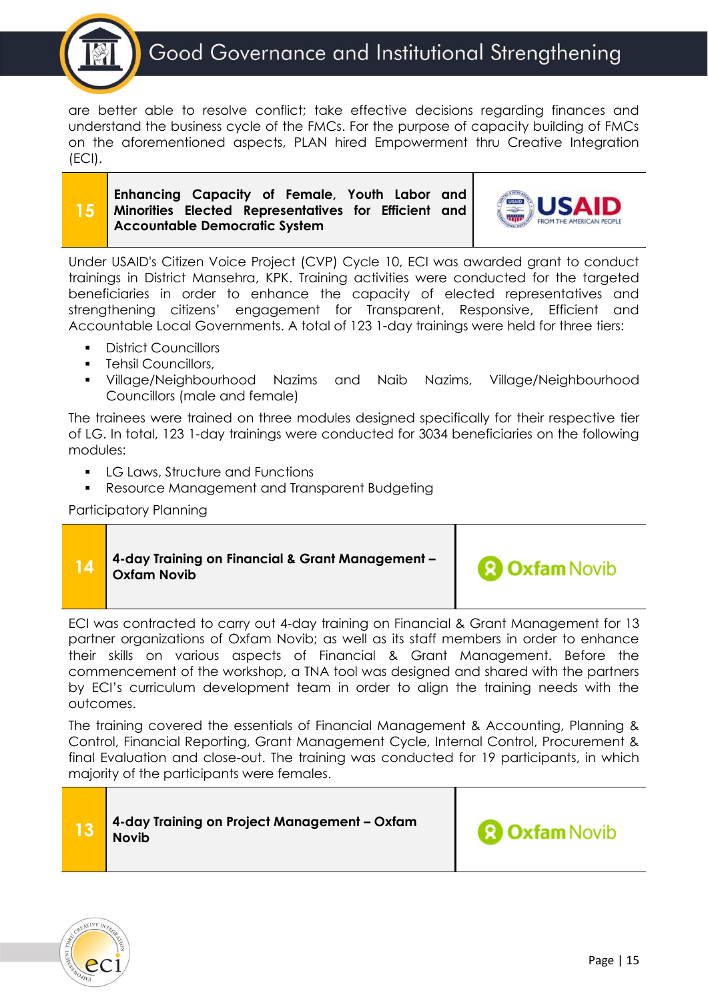

are better able to resolve conflict; take effective decisions regarding finances and understand the business cycle of the FMCs. For the purpose of capacity building of FMCs on the aforementioned aspects, PLAN hired Empowerment thru Creative Integration (ECI).

### **15 Enhancing Capacity of Female, Youth Labor and Minorities Elected Representatives for Efficient and Accountable Democratic System**



Under USAID's Citizen Voice Project (CVP) Cycle 10, ECI was awarded grant to conduct trainings in District Mansehra, KPK. Training activities were conducted for the targeted beneficiaries in order to enhance the capacity of elected representatives and strengthening citizens' engagement for Transparent, Responsive, Efficient and Accountable Local Governments. A total of 123 1-day trainings were held for three tiers:

- **District Councillors**
- **•** Tehsil Councillors,
- Village/Neighbourhood Nazims and Naib Nazims, Village/Neighbourhood Councillors (male and female)

The trainees were trained on three modules designed specifically for their respective tier of LG. In total, 123 1-day trainings were conducted for 3034 beneficiaries on the following modules:

- LG Laws, Structure and Functions
- Resource Management and Transparent Budgeting

Participatory Planning

|  | 4-day Training on Financial & Grant Management -<br><b>Oxfam Novib</b> | <b>3 Oxfam Novib</b> |
|--|------------------------------------------------------------------------|----------------------|
|--|------------------------------------------------------------------------|----------------------|

ECI was contracted to carry out 4-day training on Financial & Grant Management for 13 partner organizations of Oxfam Novib; as well as its staff members in order to enhance their skills on various aspects of Financial & Grant Management. Before the commencement of the workshop, a TNA tool was designed and shared with the partners by ECI's curriculum development team in order to align the training needs with the outcomes.

The training covered the essentials of Financial Management & Accounting, Planning & Control, Financial Reporting, Grant Management Cycle, Internal Control, Procurement & final Evaluation and close-out. The training was conducted for 19 participants, in which majority of the participants were females.



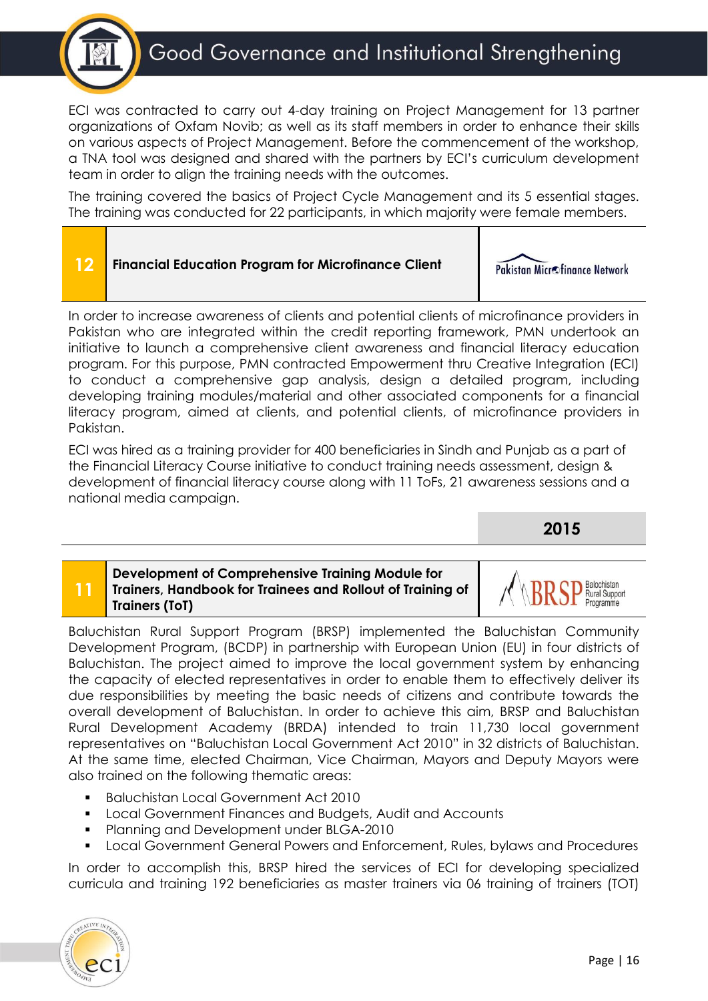### Good Governance and Institutional Strengthening

ECI was contracted to carry out 4-day training on Project Management for 13 partner organizations of Oxfam Novib; as well as its staff members in order to enhance their skills on various aspects of Project Management. Before the commencement of the workshop, a TNA tool was designed and shared with the partners by ECI's curriculum development team in order to align the training needs with the outcomes.

The training covered the basics of Project Cycle Management and its 5 essential stages. The training was conducted for 22 participants, in which majority were female members.



In order to increase awareness of clients and potential clients of microfinance providers in Pakistan who are integrated within the credit reporting framework, PMN undertook an initiative to launch a comprehensive client awareness and financial literacy education program. For this purpose, PMN contracted Empowerment thru Creative Integration (ECI) to conduct a comprehensive gap analysis, design a detailed program, including developing training modules/material and other associated components for a financial literacy program, aimed at clients, and potential clients, of microfinance providers in Pakistan.

ECI was hired as a training provider for 400 beneficiaries in Sindh and Punjab as a part of the Financial Literacy Course initiative to conduct training needs assessment, design & development of financial literacy course along with 11 ToFs, 21 awareness sessions and a national media campaign.

**2015**

### **11 Development of Comprehensive Training Module for Trainers, Handbook for Trainees and Rollout of Training of Trainers (ToT)**

al Support

Baluchistan Rural Support Program (BRSP) implemented the Baluchistan Community Development Program, (BCDP) in partnership with European Union (EU) in four districts of Baluchistan. The project aimed to improve the local government system by enhancing the capacity of elected representatives in order to enable them to effectively deliver its due responsibilities by meeting the basic needs of citizens and contribute towards the overall development of Baluchistan. In order to achieve this aim, BRSP and Baluchistan Rural Development Academy (BRDA) intended to train 11,730 local government representatives on "Baluchistan Local Government Act 2010" in 32 districts of Baluchistan. At the same time, elected Chairman, Vice Chairman, Mayors and Deputy Mayors were also trained on the following thematic areas:

- **Baluchistan Local Government Act 2010**
- Local Government Finances and Budgets, Audit and Accounts
- Planning and Development under BLGA-2010
- Local Government General Powers and Enforcement, Rules, bylaws and Procedures

In order to accomplish this, BRSP hired the services of ECI for developing specialized curricula and training 192 beneficiaries as master trainers via 06 training of trainers (TOT)

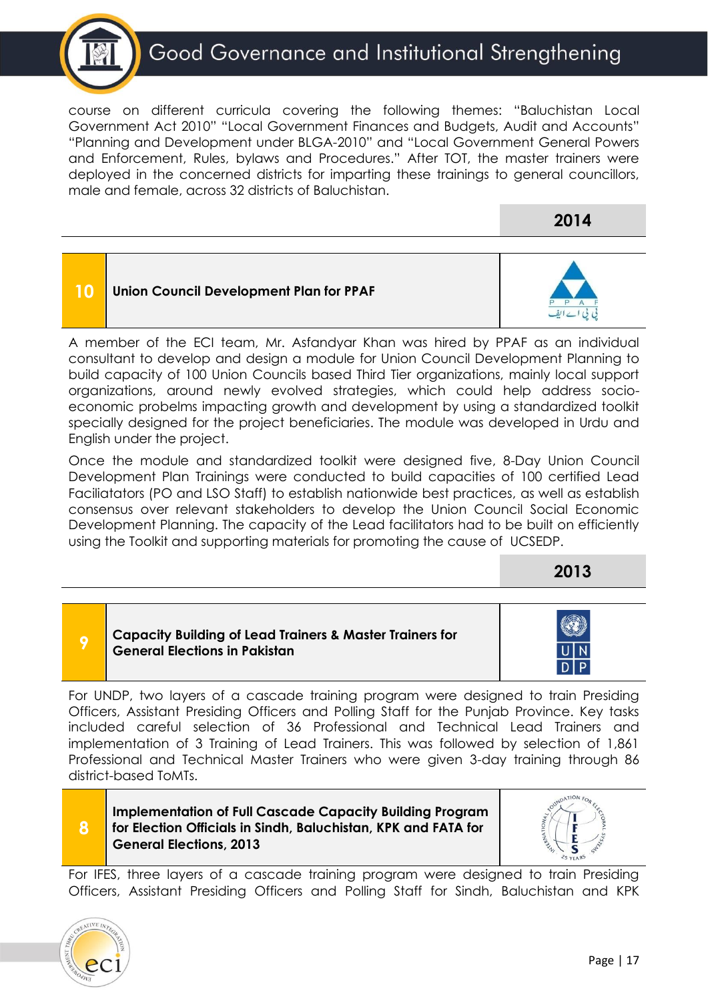

course on different curricula covering the following themes: "Baluchistan Local Government Act 2010" "Local Government Finances and Budgets, Audit and Accounts" "Planning and Development under BLGA-2010" and "Local Government General Powers and Enforcement, Rules, bylaws and Procedures." After TOT, the master trainers were deployed in the concerned districts for imparting these trainings to general councillors, male and female, across 32 districts of Baluchistan.

**2014**



consultant to develop and design a module for Union Council Development Planning to build capacity of 100 Union Councils based Third Tier organizations, mainly local support organizations, around newly evolved strategies, which could help address socioeconomic probelms impacting growth and development by using a standardized toolkit specially designed for the project beneficiaries. The module was developed in Urdu and English under the project.

Once the module and standardized toolkit were designed five, 8-Day Union Council Development Plan Trainings were conducted to build capacities of 100 certified Lead Faciliatators (PO and LSO Staff) to establish nationwide best practices, as well as establish consensus over relevant stakeholders to develop the Union Council Social Economic Development Planning. The capacity of the Lead facilitators had to be built on efficiently using the Toolkit and supporting materials for promoting the cause of UCSEDP.

**2013**

**Capacity Building of Lead Trainers & Master Trainers for General Elections in Pakistan**

For UNDP, two layers of a cascade training program were designed to train Presiding Officers, Assistant Presiding Officers and Polling Staff for the Punjab Province. Key tasks included careful selection of 36 Professional and Technical Lead Trainers and implementation of 3 Training of Lead Trainers. This was followed by selection of 1,861 Professional and Technical Master Trainers who were given 3-day training through 86 district-based ToMTs.

**Implementation of Full Cascade Capacity Building Program for Election Officials in Sindh, Baluchistan, KPK and FATA for General Elections, 2013**



For IFES, three layers of a cascade training program were designed to train Presiding Officers, Assistant Presiding Officers and Polling Staff for Sindh, Baluchistan and KPK



**8**

**9**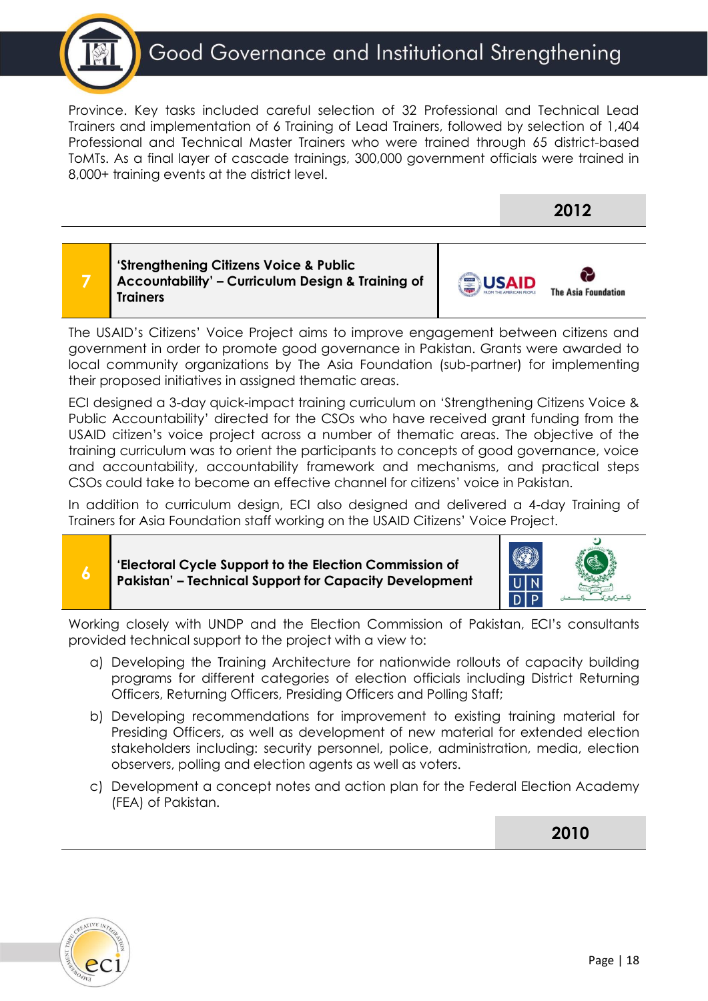

Province. Key tasks included careful selection of 32 Professional and Technical Lead Trainers and implementation of 6 Training of Lead Trainers, followed by selection of 1,404 Professional and Technical Master Trainers who were trained through 65 district-based ToMTs. As a final layer of cascade trainings, 300,000 government officials were trained in 8,000+ training events at the district level.



The USAID's Citizens' Voice Project aims to improve engagement between citizens and government in order to promote good governance in Pakistan. Grants were awarded to local community organizations by The Asia Foundation (sub-partner) for implementing their proposed initiatives in assigned thematic areas.

ECI designed a 3-day quick-impact training curriculum on 'Strengthening Citizens Voice & Public Accountability' directed for the CSOs who have received grant funding from the USAID citizen's voice project across a number of thematic areas. The objective of the training curriculum was to orient the participants to concepts of good governance, voice and accountability, accountability framework and mechanisms, and practical steps CSOs could take to become an effective channel for citizens' voice in Pakistan.

In addition to curriculum design, ECI also designed and delivered a 4-day Training of Trainers for Asia Foundation staff working on the USAID Citizens' Voice Project.

### **'Electoral Cycle Support to the Election Commission of Pakistan' – Technical Support for Capacity Development**



Working closely with UNDP and the Election Commission of Pakistan, ECI's consultants provided technical support to the project with a view to:

- a) Developing the Training Architecture for nationwide rollouts of capacity building programs for different categories of election officials including District Returning Officers, Returning Officers, Presiding Officers and Polling Staff;
- b) Developing recommendations for improvement to existing training material for Presiding Officers, as well as development of new material for extended election stakeholders including: security personnel, police, administration, media, election observers, polling and election agents as well as voters.
- c) Development a concept notes and action plan for the Federal Election Academy (FEA) of Pakistan.

**2010**



**6**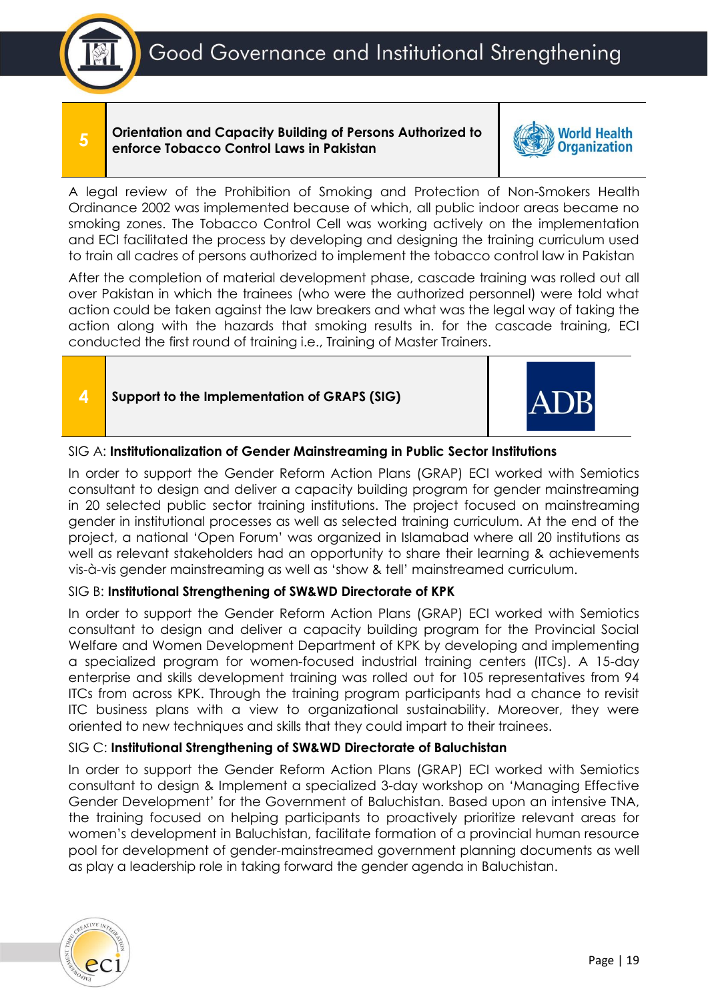Good Governance and Institutional Strengthening



**5**

### **Orientation and Capacity Building of Persons Authorized to enforce Tobacco Control Laws in Pakistan**



A legal review of the Prohibition of Smoking and Protection of Non-Smokers Health Ordinance 2002 was implemented because of which, all public indoor areas became no smoking zones. The Tobacco Control Cell was working actively on the implementation and ECI facilitated the process by developing and designing the training curriculum used to train all cadres of persons authorized to implement the tobacco control law in Pakistan

After the completion of material development phase, cascade training was rolled out all over Pakistan in which the trainees (who were the authorized personnel) were told what action could be taken against the law breakers and what was the legal way of taking the action along with the hazards that smoking results in. for the cascade training, ECI conducted the first round of training i.e., Training of Master Trainers.





### SIG A: **Institutionalization of Gender Mainstreaming in Public Sector Institutions**

In order to support the Gender Reform Action Plans (GRAP) ECI worked with Semiotics consultant to design and deliver a capacity building program for gender mainstreaming in 20 selected public sector training institutions. The project focused on mainstreaming gender in institutional processes as well as selected training curriculum. At the end of the project, a national 'Open Forum' was organized in Islamabad where all 20 institutions as well as relevant stakeholders had an opportunity to share their learning & achievements vis-à-vis gender mainstreaming as well as 'show & tell' mainstreamed curriculum.

### SIG B: **Institutional Strengthening of SW&WD Directorate of KPK**

In order to support the Gender Reform Action Plans (GRAP) ECI worked with Semiotics consultant to design and deliver a capacity building program for the Provincial Social Welfare and Women Development Department of KPK by developing and implementing a specialized program for women-focused industrial training centers (ITCs). A 15-day enterprise and skills development training was rolled out for 105 representatives from 94 ITCs from across KPK. Through the training program participants had a chance to revisit ITC business plans with a view to organizational sustainability. Moreover, they were oriented to new techniques and skills that they could impart to their trainees.

### SIG C: **Institutional Strengthening of SW&WD Directorate of Baluchistan**

In order to support the Gender Reform Action Plans (GRAP) ECI worked with Semiotics consultant to design & Implement a specialized 3-day workshop on 'Managing Effective Gender Development' for the Government of Baluchistan. Based upon an intensive TNA, the training focused on helping participants to proactively prioritize relevant areas for women's development in Baluchistan, facilitate formation of a provincial human resource pool for development of gender-mainstreamed government planning documents as well as play a leadership role in taking forward the gender agenda in Baluchistan.

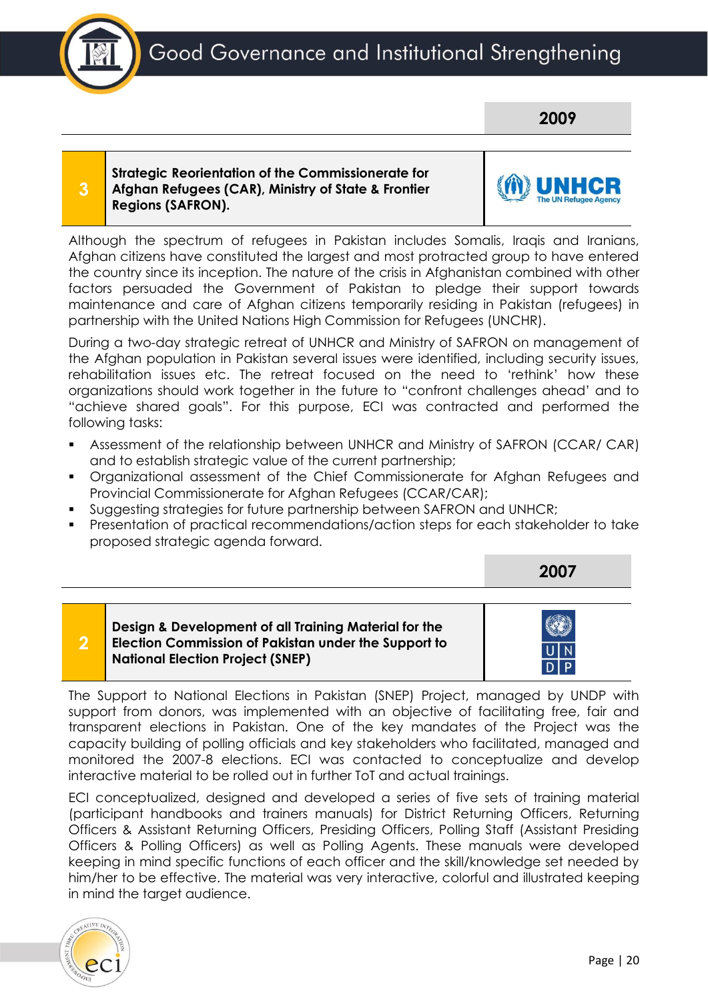



**3**

### **Strategic Reorientation of the Commissionerate for Afghan Refugees (CAR), Ministry of State & Frontier Regions (SAFRON).**



**2007**

Although the spectrum of refugees in Pakistan includes Somalis, Iraqis and Iranians, Afghan citizens have constituted the largest and most protracted group to have entered the country since its inception. The nature of the crisis in Afghanistan combined with other factors persuaded the Government of Pakistan to pledge their support towards maintenance and care of Afghan citizens temporarily residing in Pakistan (refugees) in partnership with the United Nations High Commission for Refugees (UNCHR).

During a two-day strategic retreat of UNHCR and Ministry of SAFRON on management of the Afghan population in Pakistan several issues were identified, including security issues, rehabilitation issues etc. The retreat focused on the need to 'rethink' how these organizations should work together in the future to "confront challenges ahead' and to "achieve shared goals". For this purpose, ECI was contracted and performed the following tasks:

- **E** Assessment of the relationship between UNHCR and Ministry of SAFRON (CCAR/ CAR) and to establish strategic value of the current partnership;
- Organizational assessment of the Chief Commissionerate for Afghan Refugees and Provincial Commissionerate for Afghan Refugees (CCAR/CAR);
- **•** Suggesting strategies for future partnership between SAFRON and UNHCR;
- Presentation of practical recommendations/action steps for each stakeholder to take proposed strategic agenda forward.

| $\mathcal{D}$ | Design & Development of all Training Material for the<br>Election Commission of Pakistan under the Support to<br><b>National Election Project (SNEP)</b> |  |
|---------------|----------------------------------------------------------------------------------------------------------------------------------------------------------|--|

The Support to National Elections in Pakistan (SNEP) Project, managed by UNDP with support from donors, was implemented with an objective of facilitating free, fair and transparent elections in Pakistan. One of the key mandates of the Project was the capacity building of polling officials and key stakeholders who facilitated, managed and monitored the 2007-8 elections. ECI was contacted to conceptualize and develop interactive material to be rolled out in further ToT and actual trainings.

ECI conceptualized, designed and developed a series of five sets of training material (participant handbooks and trainers manuals) for District Returning Officers, Returning Officers & Assistant Returning Officers, Presiding Officers, Polling Staff (Assistant Presiding Officers & Polling Officers) as well as Polling Agents. These manuals were developed keeping in mind specific functions of each officer and the skill/knowledge set needed by him/her to be effective. The material was very interactive, colorful and illustrated keeping in mind the target audience.